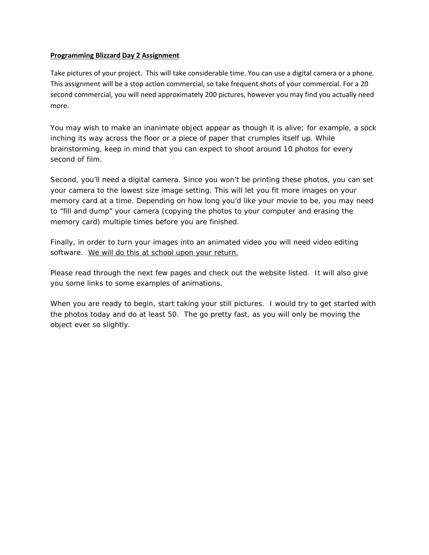## **Programming Blizzard Day 2 Assignment**

Take pictures of your project. This will take considerable time. You can use a digital camera or a phone. This assignment will be a stop action commercial, so take frequent shots of your commercial. For a 20 second commercial, you will need approximately 200 pictures, however you may find you actually need more.

You may wish to make an inanimate object appear as though it is alive; for example, a sock inching its way across the floor or a piece of paper that crumples itself up. While brainstorming, keep in mind that you can expect to shoot around 10 photos for every second of film.

Second, you'll need a digital camera. Since you won't be printing these photos, you can set your camera to the lowest size image setting. This will let you fit more images on your memory card at a time. Depending on how long you'd like your movie to be, you may need to "fill and dump" your camera (copying the photos to your computer and erasing the memory card) multiple times before you are finished.

Finally, in order to turn your images into an animated video you will need video editing software. We will do this at school upon your return.

Please read through the next few pages and check out the website listed. It will also give you some links to some examples of animations.

When you are ready to begin, start taking your still pictures. I would try to get started with the photos today and do at least 50. The go pretty fast, as you will only be moving the object ever so slightly.